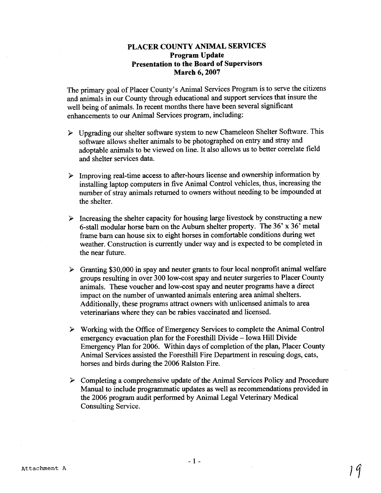## **PLACER COUNTY ANIMAL SERVICES Program Update Presentation to the Board of Supervisors March 6,2007**

The primary goal of Placer County's Animal Services Program is to serve the citizens and animals in our County through educational and support services that insure the well being of animals. In recent months there have been several significant enhancements to our Animal Services program, including:

- $\triangleright$  Upgrading our shelter software system to new Chameleon Shelter Software. This software allows shelter animals to be photographed on entry and stray and adoptable animals to be viewed on line. It also allows us to better correlate field and shelter services data.
- **P** Improving real-time access to after-hours license and ownership information by installing laptop computers in five Animal Control vehicles, thus, increasing the number of stray animals returned to owners without needing to be impounded at the shelter.
- $\triangleright$  Increasing the shelter capacity for housing large livestock by constructing a new 6-stall modular horse barn on the Auburn shelter property. The 36' **x** 36' metal **frame** barn can house six to eight horses in comfortable conditions during wet weather. Construction is currently under way and is expected to be completed in the near future.
- $\triangleright$  Granting \$30,000 in spay and neuter grants to four local nonprofit animal welfare groups resulting in over 300 low-cost spay and neuter surgeries to Placer County animals. These voucher and low-cost spay and neuter programs have a direct impact on the number of unwanted animals entering area animal shelters. Additionally, these programs attract owners with unlicensed animals to area veterinarians where they can be rabies vaccinated and licensed.
- > Working with the Office of Emergency Services to complete the Animal Control emergency evacuation plan for the Foresthill Divide - Iowa Hill Divide Emergency Plan for 2006. Within days of completion of the plan, Placer County Animal Services assisted the Foresthill Fire Department in rescuing dogs, cats, horses and birds during the 2006 Ralston Fire.
- **P** Completing a comprehensive update of the Animal Services Policy and Procedure Manual to include programmatic updates as well as recommendations provided in the 2006 program audit performed by Animal Legal Veterinary Medical Consulting Service.